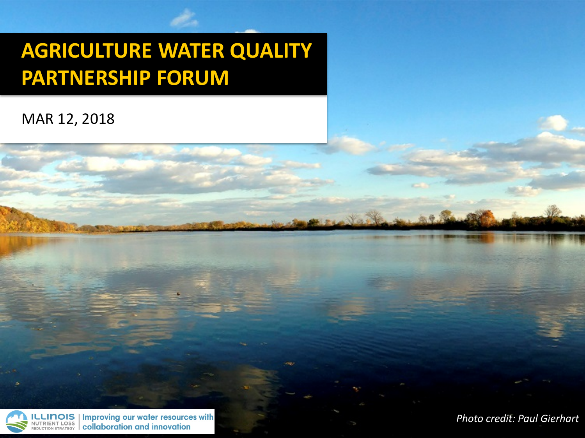#### **AGRICULTURE WATER QUALITY PARTNERSHIP FORUM**

#### MAR 12, 2018



**Improving our water resources with** collaboration and innovation

*Photo credit: Paul Gierhart*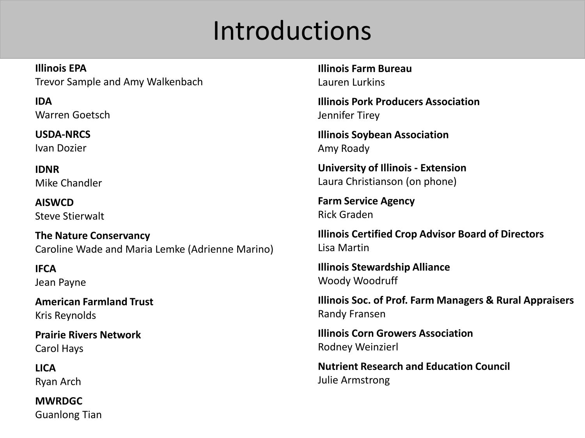### Introductions

**Illinois EPA** Trevor Sample and Amy Walkenbach

**IDA** Warren Goetsch

**USDA-NRCS** Ivan Dozier

**IDNR** Mike Chandler

**AISWCD** Steve Stierwalt

**The Nature Conservancy** Caroline Wade and Maria Lemke (Adrienne Marino)

**IFCA** Jean Payne

**American Farmland Trust** Kris Reynolds

**Prairie Rivers Network** Carol Hays

**LICA** Ryan Arch

**MWRDGC** Guanlong Tian **Illinois Farm Bureau** Lauren Lurkins

**Illinois Pork Producers Association** Jennifer Tirey

**Illinois Soybean Association** Amy Roady

**University of Illinois - Extension** Laura Christianson (on phone)

**Farm Service Agency** Rick Graden

**Illinois Certified Crop Advisor Board of Directors** Lisa Martin

**Illinois Stewardship Alliance** Woody Woodruff

**Illinois Soc. of Prof. Farm Managers & Rural Appraisers** Randy Fransen

**Illinois Corn Growers Association** Rodney Weinzierl

**Nutrient Research and Education Council** Julie Armstrong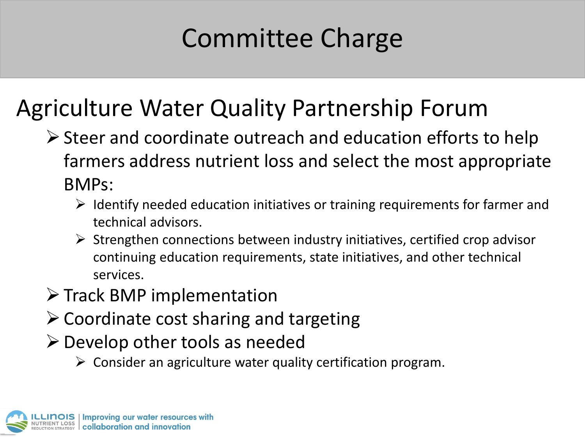## Committee Charge

#### Agriculture Water Quality Partnership Forum

- $\triangleright$  Steer and coordinate outreach and education efforts to help farmers address nutrient loss and select the most appropriate BMPs:
	- $\triangleright$  Identify needed education initiatives or training requirements for farmer and technical advisors.
	- $\triangleright$  Strengthen connections between industry initiatives, certified crop advisor continuing education requirements, state initiatives, and other technical services.
- $\triangleright$  Track BMP implementation
- $\triangleright$  Coordinate cost sharing and targeting
- $\triangleright$  Develop other tools as needed
	- $\triangleright$  Consider an agriculture water quality certification program.

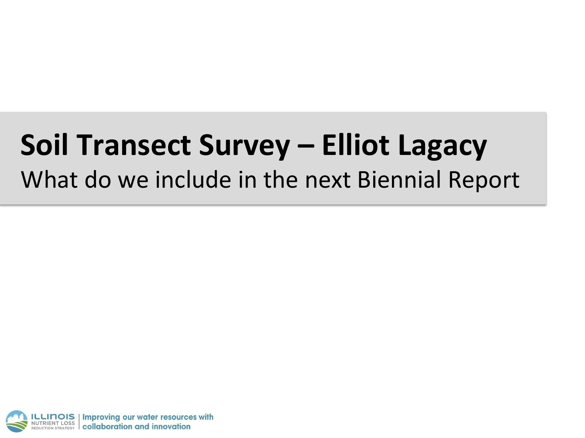# **Soil Transect Survey – Elliot Lagacy**

#### What do we include in the next Biennial Report

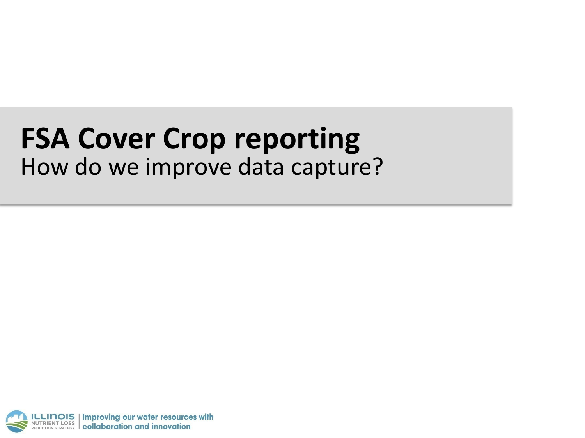### **FSA Cover Crop reporting** How do we improve data capture?

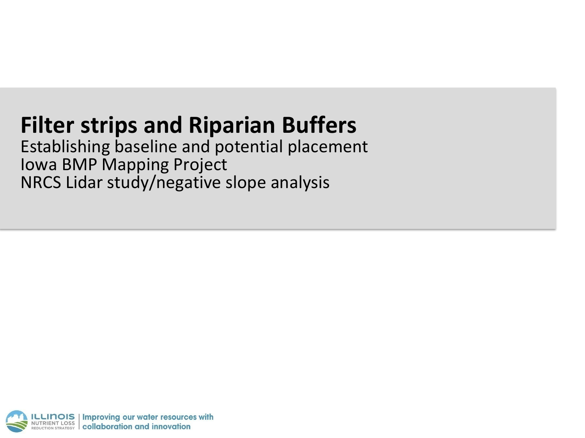#### **Filter strips and Riparian Buffers**

Establishing baseline and potential placement Iowa BMP Mapping Project NRCS Lidar study/negative slope analysis

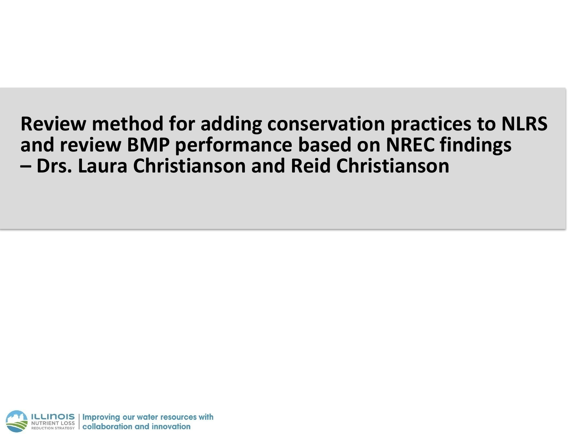#### **Review method for adding conservation practices to NLRS and review BMP performance based on NREC findings – Drs. Laura Christianson and Reid Christianson**

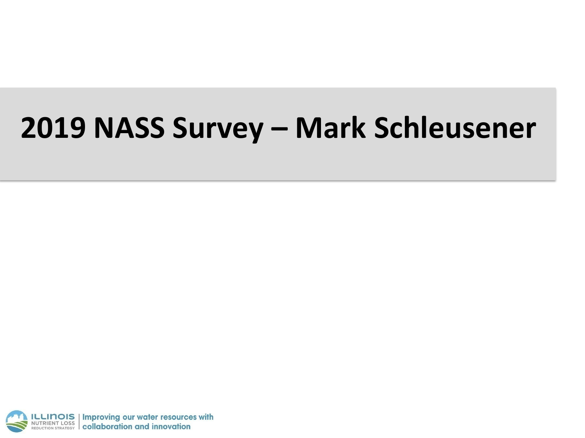## **2019 NASS Survey – Mark Schleusener**

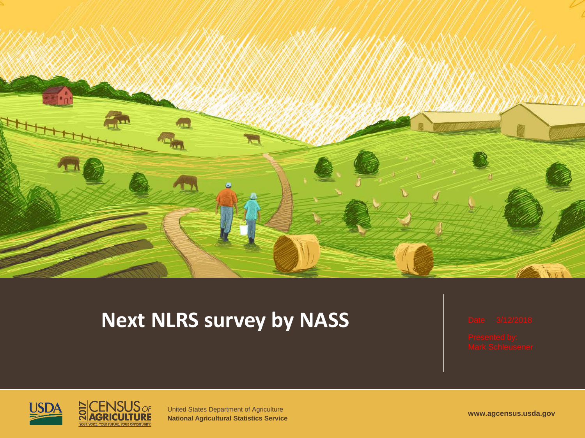

#### **Next NLRS survey by NASS**





United States Department of Agriculture **National Agricultural Statistics Service www.agcensus.usda.gov**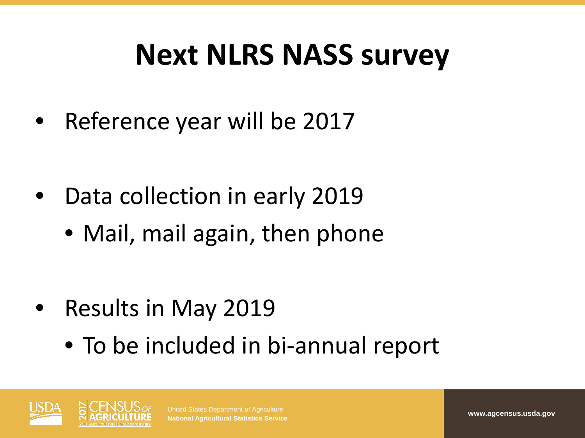## **Next NLRS NASS survey**

Reference year will be 2017

- Data collection in early 2019
	- Mail, mail again, then phone

- Results in May 2019
	- To be included in bi-annual report



United States Department of Agriculture **National Agricultural Statistics Service www.agcensus.usda.gov**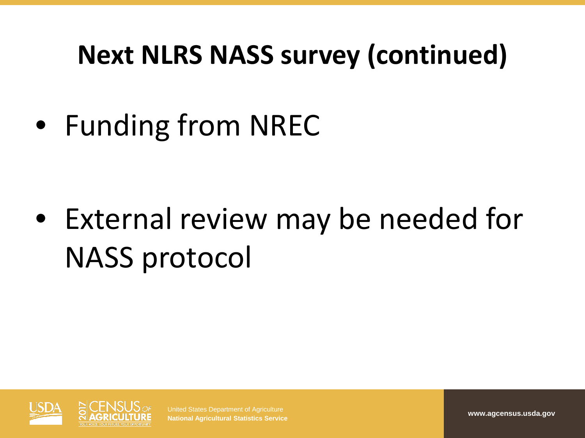### **Next NLRS NASS survey (continued)**

• Funding from NREC

• External review may be needed for NASS protocol



United States Department of Agriculture **National Agricultural Statistics Service www.agcensus.usda.gov**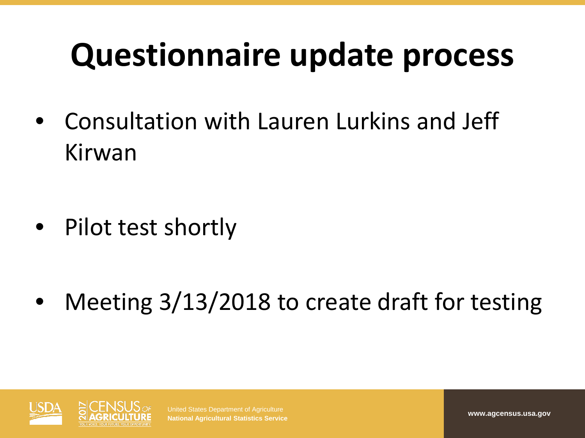# **Questionnaire update process**

• Consultation with Lauren Lurkins and Jeff Kirwan

• Pilot test shortly

Meeting 3/13/2018 to create draft for testing



United States Department of Agriculture **National Agricultural Statistics Service www.agcensus.usa.gov**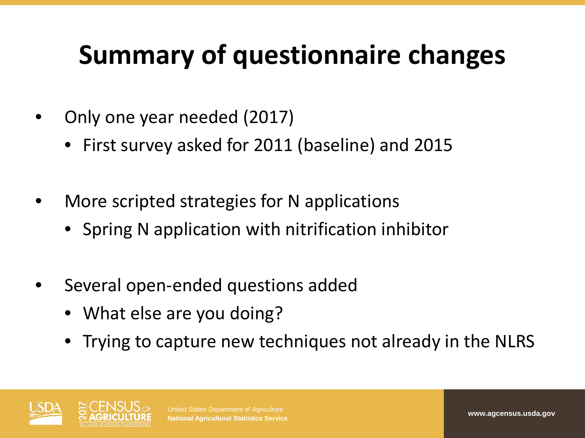### **Summary of questionnaire changes**

- Only one year needed (2017)
	- First survey asked for 2011 (baseline) and 2015
- More scripted strategies for N applications
	- Spring N application with nitrification inhibitor
- Several open-ended questions added
	- What else are you doing?
	- Trying to capture new techniques not already in the NLRS

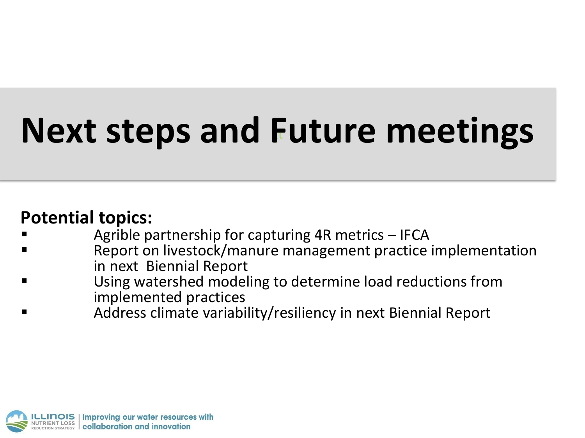# **Next steps and Future meetings**

#### **Potential topics:**

- Agrible partnership for capturing 4R metrics IFCA
- Report on livestock/manure management practice implementation in next Biennial Report
- Using watershed modeling to determine load reductions from implemented practices
- Address climate variability/resiliency in next Biennial Report